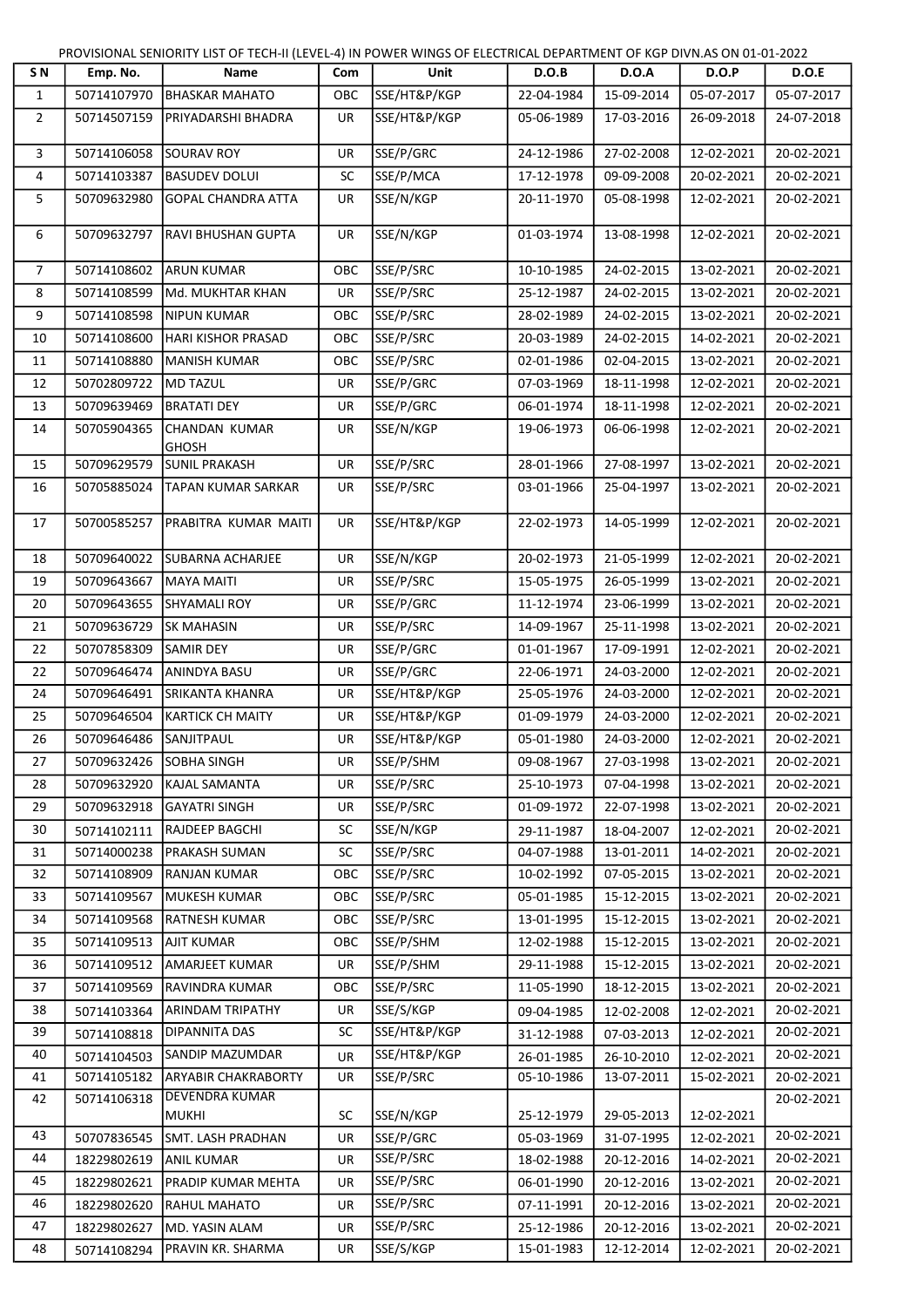PROVISIONAL SENIORITY LIST OF TECH-II (LEVEL-4) IN POWER WINGS OF ELECTRICAL DEPARTMENT OF KGP DIVN.AS ON 01-01-2022

| S N            | Emp. No.                | Name                           | Com       | Unit          | D.O.B      | D.O.A                 | D.O.P        | D.O.E      |
|----------------|-------------------------|--------------------------------|-----------|---------------|------------|-----------------------|--------------|------------|
| $\mathbf{1}$   | 50714107970             | <b>BHASKAR MAHATO</b>          | OBC       | SSE/HT&P/KGP  | 22-04-1984 | 15-09-2014            | 05-07-2017   | 05-07-2017 |
| $\overline{2}$ | 50714507159             | PRIYADARSHI BHADRA             | <b>UR</b> | lsse/ht&p/kgp | 05-06-1989 | 17-03-2016            | 26-09-2018   | 24-07-2018 |
| 3              | 50714106058             | <b>SOURAV ROY</b>              | <b>UR</b> | SSE/P/GRC     | 24-12-1986 | 27-02-2008            | 12-02-2021   | 20-02-2021 |
| 4              | 50714103387             | <b>BASUDEV DOLUI</b>           | <b>SC</b> | SSE/P/MCA     | 17-12-1978 | 09-09-2008            | 20-02-2021   | 20-02-2021 |
| 5              | 50709632980             | <b>GOPAL CHANDRA ATTA</b>      | <b>UR</b> | SSE/N/KGP     | 20-11-1970 | 05-08-1998            | 12-02-2021   | 20-02-2021 |
| 6              | 50709632797             | RAVI BHUSHAN GUPTA             | <b>UR</b> | SSE/N/KGP     | 01-03-1974 | 13-08-1998            | 12-02-2021   | 20-02-2021 |
| $\overline{7}$ | 50714108602             | <b>ARUN KUMAR</b>              | OBC       | SSE/P/SRC     | 10-10-1985 | 24-02-2015            | 13-02-2021   | 20-02-2021 |
| 8              | 50714108599             | Md. MUKHTAR KHAN               | <b>UR</b> | SSE/P/SRC     | 25-12-1987 | 24-02-2015            | 13-02-2021   | 20-02-2021 |
| 9              | 50714108598             | NIPUN KUMAR                    | OBC       | SSE/P/SRC     | 28-02-1989 | 24-02-2015            | 13-02-2021   | 20-02-2021 |
| 10             | 50714108600             | HARI KISHOR PRASAD             | OBC       | SSE/P/SRC     | 20-03-1989 | 24-02-2015            | 14-02-2021   | 20-02-2021 |
| 11             | 50714108880             | MANISH KUMAR                   | OBC       | SSE/P/SRC     | 02-01-1986 | 02-04-2015            | 13-02-2021   | 20-02-2021 |
| 12             | 50702809722             | <b>MD TAZUL</b>                | <b>UR</b> | SSE/P/GRC     | 07-03-1969 | 18-11-1998            | 12-02-2021   | 20-02-2021 |
| 13             | 50709639469             | <b>BRATATI DEY</b>             | <b>UR</b> | SSE/P/GRC     | 06-01-1974 | 18-11-1998            | 12-02-2021   | 20-02-2021 |
| 14             | 50705904365             | CHANDAN KUMAR<br><b>GHOSH</b>  | UR        | SSE/N/KGP     | 19-06-1973 | 06-06-1998            | 12-02-2021   | 20-02-2021 |
| 15             | 50709629579             | <b>SUNIL PRAKASH</b>           | <b>UR</b> | SSE/P/SRC     | 28-01-1966 | 27-08-1997            | 13-02-2021   | 20-02-2021 |
| 16             | 50705885024             | TAPAN KUMAR SARKAR             | <b>UR</b> | SSE/P/SRC     | 03-01-1966 | 25-04-1997            | 13-02-2021   | 20-02-2021 |
| 17             | 50700585257             | PRABITRA KUMAR MAITI           | UR        | SSE/HT&P/KGP  | 22-02-1973 | 14-05-1999            | 12-02-2021   | 20-02-2021 |
| 18             | 50709640022             | <b>SUBARNA ACHARJEE</b>        | UR        | SSE/N/KGP     | 20-02-1973 | 21-05-1999            | 12-02-2021   | 20-02-2021 |
| 19             | 50709643667             | MAYA MAITI                     | UR        | SSE/P/SRC     | 15-05-1975 | 26-05-1999            | 13-02-2021   | 20-02-2021 |
| 20             | 50709643655             | <b>SHYAMALI ROY</b>            | UR        | SSE/P/GRC     | 11-12-1974 | 23-06-1999            | 13-02-2021   | 20-02-2021 |
| 21             | 50709636729             | <b>SK MAHASIN</b>              | <b>UR</b> | SSE/P/SRC     | 14-09-1967 | 25-11-1998            | 13-02-2021   | 20-02-2021 |
| 22             | 50707858309             | <b>SAMIR DEY</b>               | <b>UR</b> | SSE/P/GRC     | 01-01-1967 | 17-09-1991            | 12-02-2021   | 20-02-2021 |
| 22             | 50709646474             | ANINDYA BASU                   | UR        | SSE/P/GRC     | 22-06-1971 | 24-03-2000            | 12-02-2021   | 20-02-2021 |
| 24             | 50709646491             | <b>SRIKANTA KHANRA</b>         | <b>UR</b> | SSE/HT&P/KGP  | 25-05-1976 | 24-03-2000            | 12-02-2021   | 20-02-2021 |
| 25             | 50709646504             | <b>KARTICK CH MAITY</b>        | UR        | SSE/HT&P/KGP  | 01-09-1979 | 24-03-2000            | 12-02-2021   | 20-02-2021 |
| 26             | 50709646486             | <b>SANJITPAUL</b>              | <b>UR</b> | SSE/HT&P/KGP  | 05-01-1980 | 24-03-2000            | 12-02-2021   | 20-02-2021 |
| 27             | 50709632426 SOBHA SINGH |                                | UR        | SSE/P/SHM     |            | 09-08-1967 27-03-1998 | $13-02-2021$ | 20-02-2021 |
| 28             | 50709632920             | KAJAL SAMANTA                  | UR        | SSE/P/SRC     | 25-10-1973 | 07-04-1998            | 13-02-2021   | 20-02-2021 |
| 29             | 50709632918             | <b>GAYATRI SINGH</b>           | UR        | SSE/P/SRC     | 01-09-1972 | 22-07-1998            | 13-02-2021   | 20-02-2021 |
| 30             | 50714102111             | RAJDEEP BAGCHI                 | <b>SC</b> | SSE/N/KGP     | 29-11-1987 | 18-04-2007            | 12-02-2021   | 20-02-2021 |
| 31             | 50714000238             | PRAKASH SUMAN                  | SC        | SSE/P/SRC     | 04-07-1988 | 13-01-2011            | 14-02-2021   | 20-02-2021 |
| 32             | 50714108909             | <b>RANJAN KUMAR</b>            | ОВС       | SSE/P/SRC     | 10-02-1992 | 07-05-2015            | 13-02-2021   | 20-02-2021 |
| 33             | 50714109567             | <b>MUKESH KUMAR</b>            | ОВС       | SSE/P/SRC     | 05-01-1985 | 15-12-2015            | 13-02-2021   | 20-02-2021 |
| 34             | 50714109568             | RATNESH KUMAR                  | ОВС       | SSE/P/SRC     | 13-01-1995 | 15-12-2015            | 13-02-2021   | 20-02-2021 |
| 35             | 50714109513             | <b>AJIT KUMAR</b>              | OBC       | SSE/P/SHM     | 12-02-1988 | 15-12-2015            | 13-02-2021   | 20-02-2021 |
| 36             | 50714109512             | <b>AMARJEET KUMAR</b>          | UR        | SSE/P/SHM     | 29-11-1988 | 15-12-2015            | 13-02-2021   | 20-02-2021 |
| 37             | 50714109569             | RAVINDRA KUMAR                 | овс       | SSE/P/SRC     | 11-05-1990 | 18-12-2015            | 13-02-2021   | 20-02-2021 |
| 38             | 50714103364             | <b>ARINDAM TRIPATHY</b>        | UR        | SSE/S/KGP     | 09-04-1985 | 12-02-2008            | 12-02-2021   | 20-02-2021 |
| 39             | 50714108818             | <b>DIPANNITA DAS</b>           | SC        | SSE/HT&P/KGP  | 31-12-1988 | 07-03-2013            | 12-02-2021   | 20-02-2021 |
| 40             | 50714104503             | <b>SANDIP MAZUMDAR</b>         | <b>UR</b> | SSE/HT&P/KGP  | 26-01-1985 | 26-10-2010            | 12-02-2021   | 20-02-2021 |
| 41             | 50714105182             | <b>ARYABIR CHAKRABORTY</b>     | UR        | SSE/P/SRC     | 05-10-1986 | 13-07-2011            | 15-02-2021   | 20-02-2021 |
| 42             | 50714106318             | DEVENDRA KUMAR<br><b>MUKHI</b> | <b>SC</b> | SSE/N/KGP     | 25-12-1979 | 29-05-2013            | 12-02-2021   | 20-02-2021 |
| 43             | 50707836545             | SMT. LASH PRADHAN              | UR        | SSE/P/GRC     | 05-03-1969 | 31-07-1995            | 12-02-2021   | 20-02-2021 |
| 44             | 18229802619             | <b>ANIL KUMAR</b>              | UR        | SSE/P/SRC     | 18-02-1988 | 20-12-2016            | 14-02-2021   | 20-02-2021 |
| 45             | 18229802621             | PRADIP KUMAR MEHTA             | UR        | SSE/P/SRC     | 06-01-1990 | 20-12-2016            | 13-02-2021   | 20-02-2021 |
| 46             | 18229802620             | RAHUL MAHATO                   | UR        | SSE/P/SRC     | 07-11-1991 | 20-12-2016            | 13-02-2021   | 20-02-2021 |
| 47             | 18229802627             | MD. YASIN ALAM                 | UR        | SSE/P/SRC     | 25-12-1986 | 20-12-2016            | 13-02-2021   | 20-02-2021 |
| 48             | 50714108294             | PRAVIN KR. SHARMA              | UR        | SSE/S/KGP     | 15-01-1983 | 12-12-2014            | 12-02-2021   | 20-02-2021 |